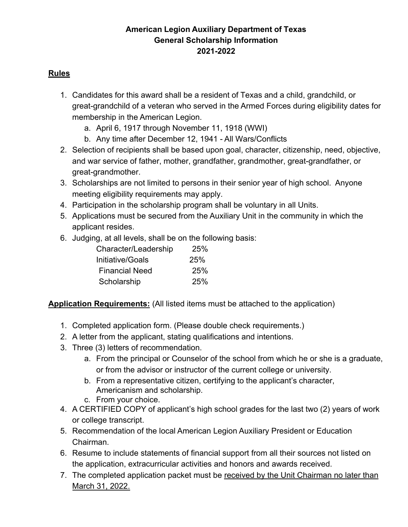# **American Legion Auxiliary Department of Texas General Scholarship Information 2021-2022**

### **Rules**

- 1. Candidates for this award shall be a resident of Texas and a child, grandchild, or great-grandchild of a veteran who served in the Armed Forces during eligibility dates for membership in the American Legion.
	- a. April 6, 1917 through November 11, 1918 (WWI)
	- b. Any time after December 12, 1941 All Wars/Conflicts
- 2. Selection of recipients shall be based upon goal, character, citizenship, need, objective, and war service of father, mother, grandfather, grandmother, great-grandfather, or great-grandmother.
- 3. Scholarships are not limited to persons in their senior year of high school. Anyone meeting eligibility requirements may apply.
- 4. Participation in the scholarship program shall be voluntary in all Units.
- 5. Applications must be secured from the Auxiliary Unit in the community in which the applicant resides.
- 6. Judging, at all levels, shall be on the following basis:

| Character/Leadership  | <b>25%</b> |
|-----------------------|------------|
| Initiative/Goals      | <b>25%</b> |
| <b>Financial Need</b> | <b>25%</b> |
| Scholarship           | 25%        |

# **Application Requirements:** (All listed items must be attached to the application)

- 1. Completed application form. (Please double check requirements.)
- 2. A letter from the applicant, stating qualifications and intentions.
- 3. Three (3) letters of recommendation.
	- a. From the principal or Counselor of the school from which he or she is a graduate, or from the advisor or instructor of the current college or university.
	- b. From a representative citizen, certifying to the applicant's character, Americanism and scholarship.
	- c. From your choice.
- 4. A CERTIFIED COPY of applicant's high school grades for the last two (2) years of work or college transcript.
- 5. Recommendation of the local American Legion Auxiliary President or Education Chairman.
- 6. Resume to include statements of financial support from all their sources not listed on the application, extracurricular activities and honors and awards received.
- 7. The completed application packet must be received by the Unit Chairman no later than March 31, 2022.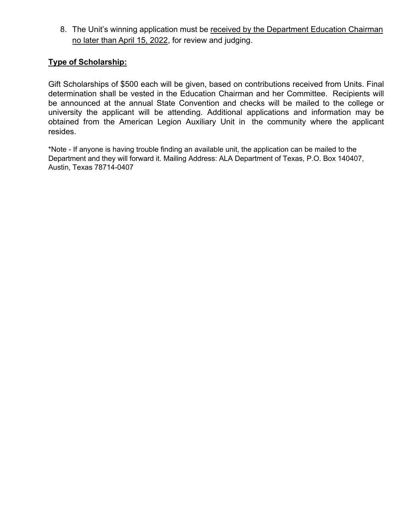8. The Unit's winning application must be received by the Department Education Chairman no later than April 15, 2022, for review and judging.

### **Type of Scholarship:**

Gift Scholarships of \$500 each will be given, based on contributions received from Units. Final determination shall be vested in the Education Chairman and her Committee. Recipients will be announced at the annual State Convention and checks will be mailed to the college or university the applicant will be attending. Additional applications and information may be obtained from the American Legion Auxiliary Unit in the community where the applicant resides.

\*Note - If anyone is having trouble finding an available unit, the application can be mailed to the Department and they will forward it. Mailing Address: ALA Department of Texas, P.O. Box 140407, Austin, Texas 78714-0407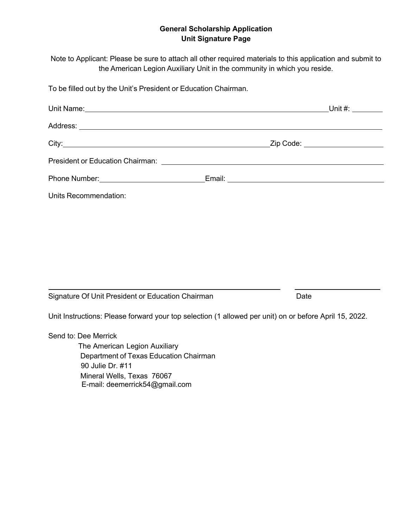#### **General Scholarship Application Unit Signature Page**

Note to Applicant: Please be sure to attach all other required materials to this application and submit to the American Legion Auxiliary Unit in the community in which you reside.

To be filled out by the Unit's President or Education Chairman.

| Unit Name: <u>Contract of the Contract of the Contract of the Contract of the Contract of the Contract of the Contract of the Contract of the Contract of the Contract of the Contract of the Contract of the Contract of the Co</u> |                                                                                                               |  |
|--------------------------------------------------------------------------------------------------------------------------------------------------------------------------------------------------------------------------------------|---------------------------------------------------------------------------------------------------------------|--|
|                                                                                                                                                                                                                                      |                                                                                                               |  |
|                                                                                                                                                                                                                                      |                                                                                                               |  |
|                                                                                                                                                                                                                                      |                                                                                                               |  |
|                                                                                                                                                                                                                                      | Email: 2008 2009 2010 2021 2022 2023 2024 2022 2022 2023 2024 2022 2023 2024 2022 2023 2024 2022 2023 2024 20 |  |
| Units Recommendation:                                                                                                                                                                                                                |                                                                                                               |  |

Signature Of Unit President or Education Chairman Date Date

Unit Instructions: Please forward your top selection (1 allowed per unit) on or before April 15, 2022.

Send to: Dee Merrick

The American Legion Auxiliary Department of Texas Education Chairman 90 Julie Dr. #11 Mineral Wells, Texas 76067 E-mail: deemerrick54@gmail.com